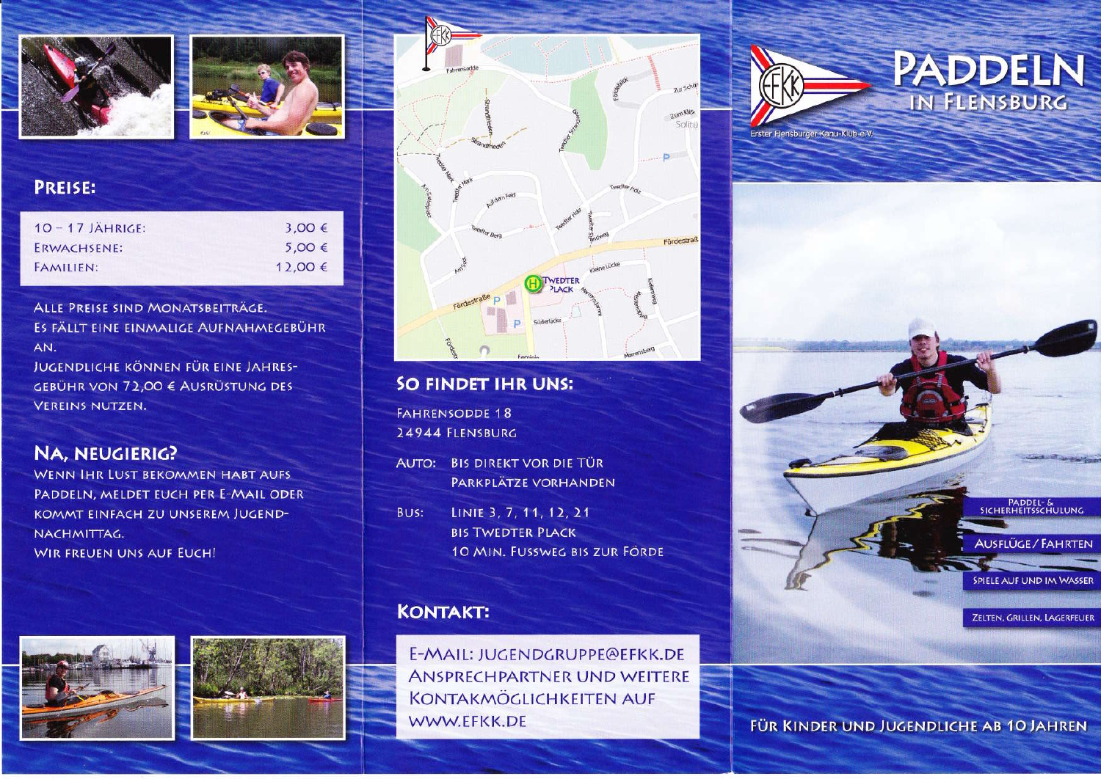



#### **PREISE:**

| $10 - 17$ JÄHRIGE:<br>ERWACHSENE: | $3,00 \in$<br>$5.00 \in$ |
|-----------------------------------|--------------------------|
|                                   |                          |

ALLE PREISE SIND MONATSBEITRÄGE. ES FÄLLT EINE EINMALIGE AUFNAHMEGEBÜHR AN.

JUGENDLICHE KÖNNEN FÜR EINE JAHRES-GEBÜHR VON 72,00 € AUSRÜSTUNG DES **VEREINS NUTZEN.** 

## **NA, NEUGIERIG?**

WENN IHR LUST BEKOMMEN HABT AUFS PADDELN, MELDET EUCH PER E-MAIL ODER **KOMMT EINFACH ZU UNSEREM JUGEND-**NACHMITTAG. **WIR FREUEN UNS AUF EUCH!** 







#### SO FINDET IHR UNS:

**FAHRENSODDE 18** 24944 FLENSBURG

AUTO: BIS DIREKT VOR DIE TÜR PARKPLÄTZE VORHANDEN

LINIE 3, 7, 11, 12, 21 BUS: **BIS TWEDTER PLACK** 10 MIN. FUSSWEG BIS ZUR FÖRDE

## **KONTAKT:**

E-MAIL: JUGENDGRUPPE@EFKK.DE **ANSPRECHPARTNER UND WEITERE KONTAKMÖGLICHKEITEN AUF** WWW.EFKK.DE



PADDEL- &

**AUSFLÜGE / FAHRTEN** 

SPIELE AUF UND IM WASSER

ZELTEN, GRILLEN, LAGERFEUER

FÜR KINDER UND JUGENDLICHE AB 10 JAHREN